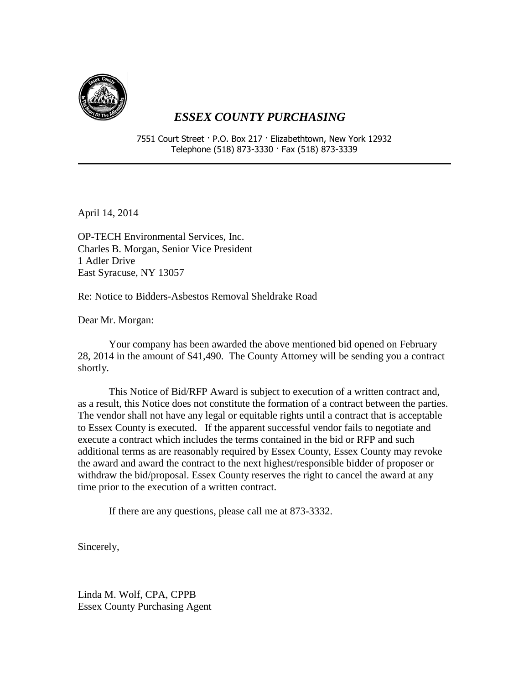

## *ESSEX COUNTY PURCHASING*

7551 Court Street · P.O. Box 217 · Elizabethtown, New York 12932 Telephone (518) 873-3330 · Fax (518) 873-3339

April 14, 2014

OP-TECH Environmental Services, Inc. Charles B. Morgan, Senior Vice President 1 Adler Drive East Syracuse, NY 13057

Re: Notice to Bidders-Asbestos Removal Sheldrake Road

Dear Mr. Morgan:

Your company has been awarded the above mentioned bid opened on February 28, 2014 in the amount of \$41,490. The County Attorney will be sending you a contract shortly.

This Notice of Bid/RFP Award is subject to execution of a written contract and, as a result, this Notice does not constitute the formation of a contract between the parties. The vendor shall not have any legal or equitable rights until a contract that is acceptable to Essex County is executed. If the apparent successful vendor fails to negotiate and execute a contract which includes the terms contained in the bid or RFP and such additional terms as are reasonably required by Essex County, Essex County may revoke the award and award the contract to the next highest/responsible bidder of proposer or withdraw the bid/proposal. Essex County reserves the right to cancel the award at any time prior to the execution of a written contract.

If there are any questions, please call me at 873-3332.

Sincerely,

Linda M. Wolf, CPA, CPPB Essex County Purchasing Agent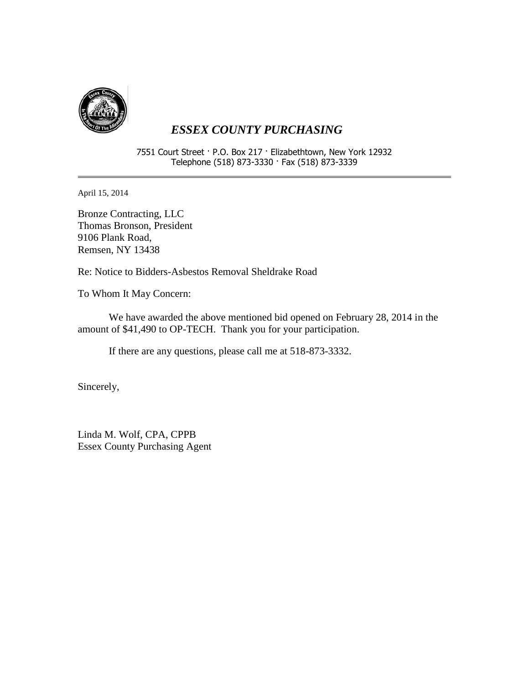

## *ESSEX COUNTY PURCHASING*

7551 Court Street · P.O. Box 217 · Elizabethtown, New York 12932 Telephone (518) 873-3330 · Fax (518) 873-3339

April 15, 2014

Bronze Contracting, LLC Thomas Bronson, President 9106 Plank Road, Remsen, NY 13438

Re: Notice to Bidders-Asbestos Removal Sheldrake Road

To Whom It May Concern:

We have awarded the above mentioned bid opened on February 28, 2014 in the amount of \$41,490 to OP-TECH. Thank you for your participation.

If there are any questions, please call me at 518-873-3332.

Sincerely,

Linda M. Wolf, CPA, CPPB Essex County Purchasing Agent